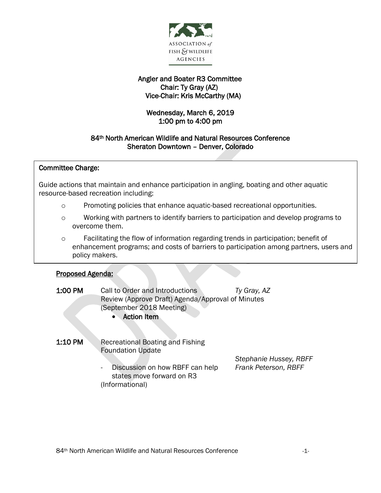

# Angler and Boater R3 Committee Chair: Ty Gray (AZ) Vice-Chair: Kris McCarthy (MA)

# Wednesday, March 6, 2019 1:00 pm to 4:00 pm

# 84th North American Wildlife and Natural Resources Conference Sheraton Downtown – Denver, Colorado

#### j Committee Charge:

 Guide actions that maintain and enhance participation in angling, boating and other aquatic .<br>. resource-based recreation including:

- o Promoting policies that enhance aquatic-based recreational opportunities.
- o Working with partners to identify barriers to participation and develop programs to overcome them.
- o Facilitating the flow of information regarding trends in participation; benefit of enhancement programs; and costs of barriers to participation among partners, users and policy makers.

### Proposed Agenda:

I

| 1:00 PM | Call to Order and Introductions<br>Review (Approve Draft) Agenda/Approval of Minutes<br>(September 2018 Meeting)<br><b>Action Item</b><br>$\bullet$         | Ty Gray, AZ                                    |
|---------|-------------------------------------------------------------------------------------------------------------------------------------------------------------|------------------------------------------------|
| 1:10 PM | <b>Recreational Boating and Fishing</b><br><b>Foundation Update</b><br>Discussion on how RBFF can help<br>-<br>states move forward on R3<br>(Informational) | Stephanie Hussey, RBFF<br>Frank Peterson, RBFF |